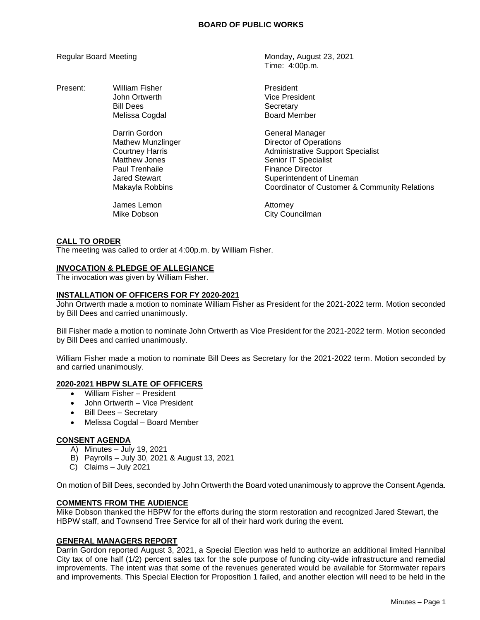Present: William Fisher **President** President Bill Dees Secretary

> Darrin Gordon General Manager Paul Trenhaile **Finance Director**

Regular Board Meeting Monday, August 23, 2021 Time: 4:00p.m.

> John Ortwerth **Vice President** Melissa Cogdal **Board Member**

Mathew Munzlinger **Director of Operations** Courtney Harris **Administrative Support Specialist**<br>
Matthew Jones **Administrative Senior IT Specialist** Senior IT Specialist Jared Stewart Superintendent of Lineman Makayla Robbins Coordinator of Customer & Community Relations

James Lemon **Attorney** Mike Dobson **City Councilman** 

## **CALL TO ORDER**

The meeting was called to order at 4:00p.m. by William Fisher.

## **INVOCATION & PLEDGE OF ALLEGIANCE**

The invocation was given by William Fisher.

## **INSTALLATION OF OFFICERS FOR FY 2020-2021**

John Ortwerth made a motion to nominate William Fisher as President for the 2021-2022 term. Motion seconded by Bill Dees and carried unanimously.

Bill Fisher made a motion to nominate John Ortwerth as Vice President for the 2021-2022 term. Motion seconded by Bill Dees and carried unanimously.

William Fisher made a motion to nominate Bill Dees as Secretary for the 2021-2022 term. Motion seconded by and carried unanimously.

#### **2020-2021 HBPW SLATE OF OFFICERS**

- William Fisher President
- John Ortwerth Vice President
- Bill Dees Secretary
- Melissa Cogdal Board Member

## **CONSENT AGENDA**

- A) Minutes July 19, 2021
- B) Payrolls July 30, 2021 & August 13, 2021
- C) Claims July 2021

On motion of Bill Dees, seconded by John Ortwerth the Board voted unanimously to approve the Consent Agenda.

## **COMMENTS FROM THE AUDIENCE**

Mike Dobson thanked the HBPW for the efforts during the storm restoration and recognized Jared Stewart, the HBPW staff, and Townsend Tree Service for all of their hard work during the event.

#### **GENERAL MANAGERS REPORT**

Darrin Gordon reported August 3, 2021, a Special Election was held to authorize an additional limited Hannibal City tax of one half (1/2) percent sales tax for the sole purpose of funding city-wide infrastructure and remedial improvements. The intent was that some of the revenues generated would be available for Stormwater repairs and improvements. This Special Election for Proposition 1 failed, and another election will need to be held in the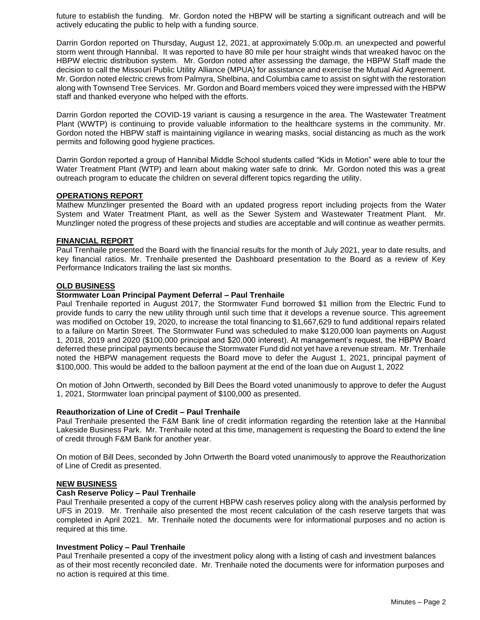future to establish the funding. Mr. Gordon noted the HBPW will be starting a significant outreach and will be actively educating the public to help with a funding source.

Darrin Gordon reported on Thursday, August 12, 2021, at approximately 5:00p.m. an unexpected and powerful storm went through Hannibal. It was reported to have 80 mile per hour straight winds that wreaked havoc on the HBPW electric distribution system. Mr. Gordon noted after assessing the damage, the HBPW Staff made the decision to call the Missouri Public Utility Alliance (MPUA) for assistance and exercise the Mutual Aid Agreement. Mr. Gordon noted electric crews from Palmyra, Shelbina, and Columbia came to assist on sight with the restoration along with Townsend Tree Services. Mr. Gordon and Board members voiced they were impressed with the HBPW staff and thanked everyone who helped with the efforts.

Darrin Gordon reported the COVID-19 variant is causing a resurgence in the area. The Wastewater Treatment Plant (WWTP) is continuing to provide valuable information to the healthcare systems in the community. Mr. Gordon noted the HBPW staff is maintaining vigilance in wearing masks, social distancing as much as the work permits and following good hygiene practices.

Darrin Gordon reported a group of Hannibal Middle School students called "Kids in Motion" were able to tour the Water Treatment Plant (WTP) and learn about making water safe to drink. Mr. Gordon noted this was a great outreach program to educate the children on several different topics regarding the utility.

## **OPERATIONS REPORT**

Mathew Munzlinger presented the Board with an updated progress report including projects from the Water System and Water Treatment Plant, as well as the Sewer System and Wastewater Treatment Plant. Mr. Munzlinger noted the progress of these projects and studies are acceptable and will continue as weather permits.

#### **FINANCIAL REPORT**

Paul Trenhaile presented the Board with the financial results for the month of July 2021, year to date results, and key financial ratios. Mr. Trenhaile presented the Dashboard presentation to the Board as a review of Key Performance Indicators trailing the last six months.

## **OLD BUSINESS**

#### **Stormwater Loan Principal Payment Deferral – Paul Trenhaile**

Paul Trenhaile reported in August 2017, the Stormwater Fund borrowed \$1 million from the Electric Fund to provide funds to carry the new utility through until such time that it develops a revenue source. This agreement was modified on October 19, 2020, to increase the total financing to \$1,667,629 to fund additional repairs related to a failure on Martin Street. The Stormwater Fund was scheduled to make \$120,000 loan payments on August 1, 2018, 2019 and 2020 (\$100,000 principal and \$20,000 interest). At management's request, the HBPW Board deferred these principal payments because the Stormwater Fund did not yet have a revenue stream. Mr. Trenhaile noted the HBPW management requests the Board move to defer the August 1, 2021, principal payment of \$100,000. This would be added to the balloon payment at the end of the loan due on August 1, 2022

On motion of John Ortwerth, seconded by Bill Dees the Board voted unanimously to approve to defer the August 1, 2021, Stormwater loan principal payment of \$100,000 as presented.

## **Reauthorization of Line of Credit – Paul Trenhaile**

Paul Trenhaile presented the F&M Bank line of credit information regarding the retention lake at the Hannibal Lakeside Business Park. Mr. Trenhaile noted at this time, management is requesting the Board to extend the line of credit through F&M Bank for another year.

On motion of Bill Dees, seconded by John Ortwerth the Board voted unanimously to approve the Reauthorization of Line of Credit as presented.

## **NEW BUSINESS**

#### **Cash Reserve Policy – Paul Trenhaile**

Paul Trenhaile presented a copy of the current HBPW cash reserves policy along with the analysis performed by UFS in 2019. Mr. Trenhaile also presented the most recent calculation of the cash reserve targets that was completed in April 2021. Mr. Trenhaile noted the documents were for informational purposes and no action is required at this time.

#### **Investment Policy – Paul Trenhaile**

Paul Trenhaile presented a copy of the investment policy along with a listing of cash and investment balances as of their most recently reconciled date. Mr. Trenhaile noted the documents were for information purposes and no action is required at this time.